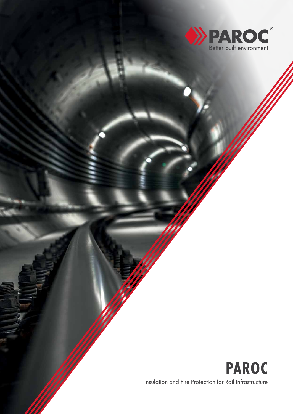

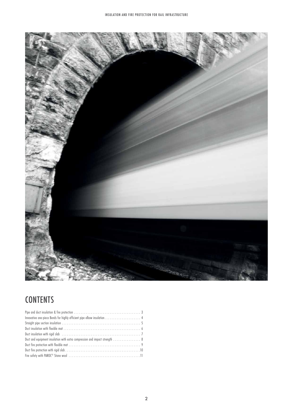

# **CONTENTS**

| Duct and equipment insulation with extra compression and impact strength  8 |  |
|-----------------------------------------------------------------------------|--|
|                                                                             |  |
|                                                                             |  |
|                                                                             |  |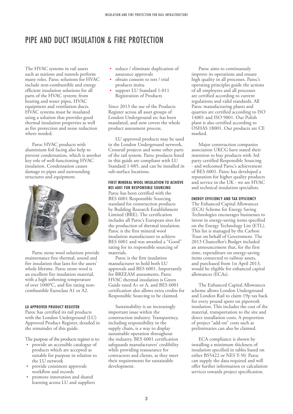## PIPE AND DUCT INSULATION & FIRE PROTECTION

The HVAC systems in rail assets such as stations and tunnels perform many roles. Paroc solutions for HVAC include non-combustible and energy efficient insulation solutions for all parts of the HVAC system; from heating and water pipes, HVAC equipment and ventilation ducts. HVAC systems must be insulated using a solution that provides good thermal insulation properties as well as fire protection and noise reduction where needed.

Paroc HVAC products with aluminium foil facing also help to prevent condensation, which is another key role of well-functioning HVAC insulation. Condensation causes damage to pipes and surrounding structures and equipment.



Paroc stone wool solutions provide maintenance free thermal, sound and fire insulation that lasts for the assets' whole lifetime. Paroc stone wool is an excellent fire insulation material, with a high softening temperature of over 1000°C, and fire rating noncombustible Euroclass A1 or A2.

#### **LU APPROVED PRODUCT REGISTER**

Paroc has certified its rail products with the London Underground (LU) Approved Product Register, detailed in the remainder of this guide.

The purpose of the products register is to:

- **•** provide an accessible catalogue of products which are accepted as suitable for purpose in relation to the LU network
- **•** provide consistent approvals workflow and records
- **•** promote innovation and shared learning across LU and suppliers
- **•** reduce / eliminate duplication of assurance approvals
- **•** obtain consent to test / trial products insitu
- **•** support LU Standard 1-011 Registration of Products

Since 2013 the use of the Products Register across all asset groups of London Underground etc has been mandated, and now covers the whole product assessment process.

LU approved products may be used in the London Underground network, Crossrail projects and some other parts of the rail system. Paroc products listed in this guide are compliant with LU Standard 1-085, and can be installed in sub-surface locations.

#### **FIRST MINERAL WOOL INSULATION TO ACHIEVE BES 6001 FOR RESPONSIBLE SOURCING**

Paroc has been certified with the BES 6001 Responsible Sourcing standard for construction products by Building Research Establishment Limited (BRE). The certification includes all Paroc's European sites for the production of thermal insulation. Paroc is the first mineral wool insulation manufacturer to achieve BES 6001 and was awarded a "Good" rating for its responsible sourcing of materials.

Paroc is the first insulation manufacturer to hold both LU approvals and BES 6001. Importantly for BREEAM assessments, Paroc HVAC thermal insulation is Green Guide rated A+ or A, and BES 6001 certification also allows extra credits for Responsible Sourcing to be claimed.

Sustainability is an increasingly important issue within the construction industry. Transparency, including responsibility in the supply chain, is a way to display sustainable operation throughout the industry. BES 6001 certification safeguards manufacturers' credibility while providing reassurance for contractors and clients, as they meet their requirements for sustainable development.

Paroc aims to continuously improve its operations and ensure high quality in all processes. Paroc's operating principles guide the actions of all employees and all processes are certified according to current regulations and valid standards. All Paroc manufacturing plants and quarries are certified according to ISO 14001 and ISO 9001. Our Polish plant is also certified according to OSHAS 18001. Our products are CE marked.

Major construction companies association UKCG have stated their intention to buy products with 3rd party certified Responsible Sourcing - and welcomed Paroc's achievement of BES 6001. Paroc has developed a reputation for higher quality products and service in the UK - we are HVAC and technical insulation specialists.

#### **ENERGY EFFICIENCY AND TAX EFFICIENCY**

The Enhanced Capital Allowances (ECA) Scheme for Energy Saving Technologies encourages businesses to invest in energy-saving items specified on the Energy Technology List (ETL). This list is managed by the Carbon Trust on behalf of Government. The 2013 Chancellor's Budget included an announcement that, for the first time, expenditure on energy-saving items connected to railway assets, and purchased from 1st April 2013, would be eligible for enhanced capital allowances (ECAs).

The Enhanced Capital Allowances scheme allows London Underground and London Rail to claim 19p tax back for every pound spent on pipework insulation. This includes the cost of the material, transportation to the site and direct installation costs. A proportion of project "add-on" costs such as preliminaries can also be claimed.

ECA compliance is shown by installing a minimum thickness of insulation specified in tables based on either BS5422 or NES Y-50. Paroc can supply the data required and will offer further information or calculation services towards project specification.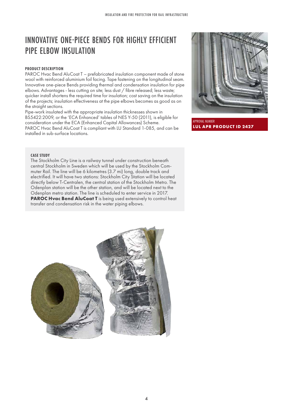# INNOVATIVE ONE-PIECE BENDS FOR HIGHLY EFFICIENT PIPE ELBOW INSULATION

## **PRODUCT DESCRIPTION**

PAROC Hvac Bend AluCoat T – prefabricated insulation component made of stone wool with reinforced aluminium foil facing. Tape fastening on the longitudinal seam. Innovative one-piece Bends providing thermal and condensation insulation for pipe elbows. Advantages - less cutting on site; less dust / fibre released; less waste; quicker install shortens the required time for insulation; cost saving on the insulation of the projects; insulation effectiveness at the pipe elbows becomes as good as on the straight sections.

Pipe-work insulated with the appropriate insulation thicknesses shown in BS5422:2009, or the 'ECA Enhanced' tables of NES Y-50 (2011), is eligible for consideration under the ECA (Enhanced Capital Allowances) Scheme. PAROC Hvac Bend AluCoat T is compliant with LU Standard 1-085, and can be installed in sub-surface locations.



APPROVAL NUMBER **LUL APR PRODUCT ID 2427**

## **CASE STUDY**

The Stockholm City Line is a railway tunnel under construction beneath central Stockholm in Sweden which will be used by the Stockholm Commuter Rail. The line will be 6 kilometres (3.7 mi) long, double track and electrified. It will have two stations: Stockholm City Station will be located directly below T-Centralen, the central station of the Stockholm Metro. The Odenplan station will be the other station, and will be located next to the Odenplan metro station. The line is scheduled to enter service in 2017. **PAROC Hvac Bend AluCoat T** is being used extensively to control heat transfer and condensation risk in the water piping elbows.

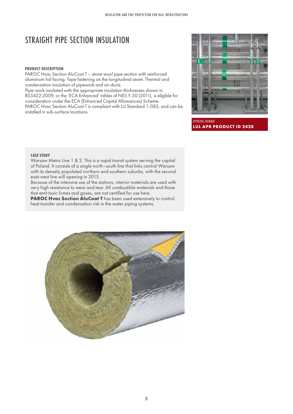# STRAIGHT PIPE SECTION INSULATION

## **PRODUCT DESCRIPTION**

PAROC Hvac Section AluCoat T – stone wool pipe section with reinforced aluminium foil facing. Tape fastening on the longitudinal seam. Thermal and condensation insulation of pipework and air ducts.

Pipe-work insulated with the appropriate insulation thicknesses shown in BS5422:2009, or the 'ECA Enhanced' tables of NES Y-50 (2011), is eligible for consideration under the ECA (Enhanced Capital Allowances) Scheme. PAROC Hvac Section AluCoat T is compliant with LU Standard 1-085, and can be installed in sub-surface locations.



APPROVAL NUMBER **LUL APR PRODUCT ID 2428**

## **CASE STUDY**

Warsaw Metro Line 1 & 2. This is a rapid transit system serving the capital of Poland. It consists of a single north–south line that links central Warsaw with its densely populated northern and southern suburbs, with the second east-west line will opening in 2015.

Because of the intensive use of the stations, interior materials are used with very high resistance to wear and tear. All combustible materials and those that emit toxic fumes and gases, are not certified for use here.

**PAROC Hvac Section AluCoat T** has been used extensively to control heat transfer and condensation risk in the water piping systems.

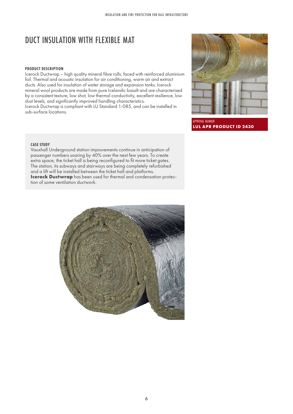# DUCT INSULATION WITH FLEXIBLE MAT

### **PRODUCT DESCRIPTION**

Icerock Ductwrap – high quality mineral fibre rolls, faced with reinforced aluminium foil. Thermal and acoustic insulation for air conditioning, warm air and extract ducts. Also used for insulation of water storage and expansion tanks. Icerock mineral wool products are made from pure Icelandic basalt and are characterised by a consistent texture, low shot, low thermal conductivity, excellent resilience, low dust levels, and significantly improved handling characteristics. Icerock Ductwrap is compliant with LU Standard 1-085, and can be installed in sub-surface locations.



APPROVAL NUMBER **LUL APR PRODUCT ID 2430**

## **CASE STUDY**

Vauxhall Underground station improvements continue in anticipation of passenger numbers soaring by 40% over the next few years. To create extra space, the ticket hall is being reconfigured to fit more ticket gates. The station, its subways and stairways are being completely refurbished and a lift will be installed between the ticket hall and platforms. **Icerock Ductwrap** has been used for thermal and condensation protection of some ventilation ductwork.

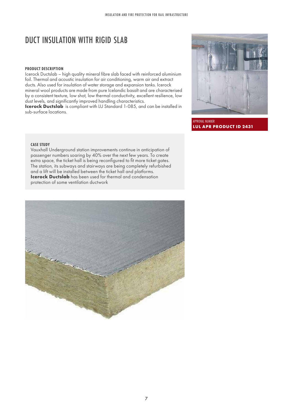## DUCT INSULATION WITH RIGID SLAB

#### **PRODUCT DESCRIPTION**

Icerock Ductslab – high quality mineral fibre slab faced with reinforced aluminium foil. Thermal and acoustic insulation for air conditioning, warm air and extract ducts. Also used for insulation of water storage and expansion tanks. Icerock mineral wool products are made from pure Icelandic basalt and are characterised by a consistent texture, low shot, low thermal conductivity, excellent resilience, low dust levels, and significantly improved handling characteristics. **Icerock Ductslab** is compliant with LU Standard 1-085, and can be installed in

sub-surface locations.



APPROVAL NUMBER **LUL APR PRODUCT ID 2431**

## **CASE STUDY**

Vauxhall Underground station improvements continue in anticipation of passenger numbers soaring by 40% over the next few years. To create extra space, the ticket hall is being reconfigured to fit more ticket gates. The station, its subways and stairways are being completely refurbished and a lift will be installed between the ticket hall and platforms. **Icerock Ductslab** has been used for thermal and condensation protection of some ventilation ductwork

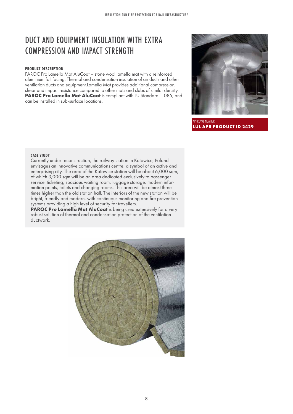# DUCT AND EQUIPMENT INSULATION WITH EXTRA COMPRESSION AND IMPACT STRENGTH

## **PRODUCT DESCRIPTION**

PAROC Pro Lamella Mat AluCoat – stone wool lamella mat with a reinforced aluminium foil facing. Thermal and condensation insulation of air ducts and other ventilation ducts and equipment.Lamella Mat provides additional compression, shear and impact resistance compared to other mats and slabs of similar density. PAROC Pro Lamella Mat AluCoat is compliant with LU Standard 1-085, and can be installed in sub-surface locations.



APPROVAL NUMBER **LUL APR PRODUCT ID 2429**

## **CASE STUDY**

Currently under reconstruction, the railway station in Katowice, Poland envisages an innovative communications centre, a symbol of an active and enterprising city. The area of the Katowice station will be about 6,000 sqm, of which 3,000 sqm will be an area dedicated exclusively to passenger service: ticketing, spacious waiting room, luggage storage, modern information points, toilets and changing rooms. This area will be almost three times higher than the old station hall. The interiors of the new station will be bright, friendly and modern, with continuous monitoring and fire prevention systems providing a high level of security for travellers.

PAROC Pro Lamella Mat AluCoat is being used extensively for a very robust solution of thermal and condensation protection of the ventilation ductwork.

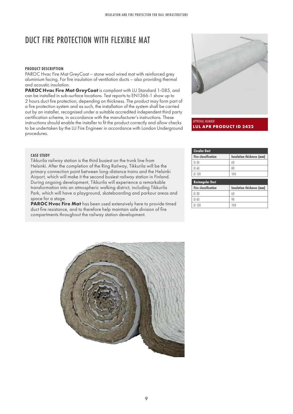# DUCT FIRE PROTECTION WITH FLEXIBLE MAT

## **PRODUCT DESCRIPTION**

PAROC Hvac Fire Mat GreyCoat – stone wool wired mat with reinforced grey aluminium facing. For fire insulation of ventilation ducts – also providing thermal and acoustic insulation.

**PAROC Hvac Fire Mat GreyCoat** is compliant with LU Standard 1-085, and can be installed in sub-surface locations. Test reports to EN1366-1 show up to 2 hours duct fire protection, depending on thickness. The product may form part of a fire protection system and as such, the installation of the system shall be carried out by an installer, recognised under a suitable accredited independent third party certification scheme, in accordance with the manufacturer's instructions. These instructions should enable the installer to fit the product correctly and allow checks to be undertaken by the LU Fire Engineer in accordance with London Underground procedures.



APPROVAL NUMBER **LUL APR PRODUCT ID 2422**

#### **CASE STUDY**

Tikkurila railway station is the third busiest on the trunk line from Helsinki. After the completion of the Ring Railway, Tikkurila will be the primary connection point between long-distance trains and the Helsinki Airport, which will make it the second busiest railway station in Finland. During ongoing development, Tikkurila will experience a remarkable transformation into an atmospheric walking district, including Tikkurila Park, which will have a playground, skateboarding and parkour areas and space for a stage.

**PAROC Hvac Fire Mat** has been used extensively here to provide timed duct fire resistance, and to therefore help maintain safe division of fire compartments throughout the railway station development.

| <b>Circular Duct</b>       |                           |  |
|----------------------------|---------------------------|--|
| <b>Fire classification</b> | Insulation thickness (mm) |  |
| EI 30                      | 60                        |  |
| EI 60                      | 80                        |  |
| EI 120                     | 100                       |  |
| <b>Rectangular Duct</b>    |                           |  |
| <b>Fire classification</b> | Insulation thickness (mm) |  |
| EI 30                      |                           |  |
|                            | 60                        |  |

| EI 120 | 100

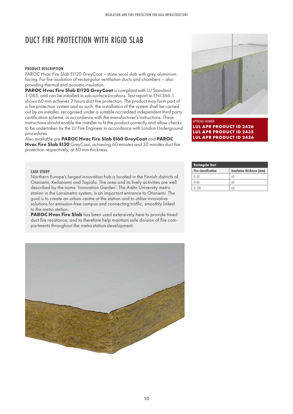# DUCT FIRE PROTECTION WITH RIGID SLAB

## **PRODUCT DESCRIPTION**

PAROC Hvac Fire Slab EI120 GreyCoat – stone wool slab with grey aluminium facing. For fire insulation of rectangular ventilation ducts and chambers – also providing thermal and acoustic insulation.

**PAROC Hvac Fire Slab EI120 GreyCoat** is compliant with LU Standard 1-085, and can be installed in sub-surface locations. Test report to EN1366-1 shows 60 mm achieves 2 hours duct fire protection. The product may form part of a fire protection system and as such, the installation of the system shall be carried out by an installer, recognised under a suitable accredited independent third party certification scheme, in accordance with the manufacturer's instructions. These instructions should enable the installer to fit the product correctly and allow checks to be undertaken by the LU Fire Engineer in accordance with London Underground procedures.

Also available are **PAROC Hvac Fire Slab EI60 GreyCoat** and **PAROC Hvac Fire Slab EI30** GreyCoat, achieving 60 minutes and 30 minutes duct fire protection respectively, at 60 mm thickness.



APPROVAL NUMBER **LUL APR PRODUCT ID 2426 LUL APR PRODUCT ID 2435 LUL APR PRODUCT ID 2436**

| <b>CASE STUDY</b> |
|-------------------|
|                   |

Northern Europe's largest innovation hub is located in the Finnish districts of Otaniemi, Keilaniemi and Tapiola. The area and its lively activities are well described by the name 'Innovation Garden'. The Aalto University metro station in the Lansimetro system, is an important entrance to Otaniemi. The goal is to create an urban centre at the station and to utilise innovative solutions for emission-free campus and connecting traffic, smoothly linked to the metro station.

**PAROC Hvac Fire Slab** has been used extensively here to provide timed duct fire resistance, and to therefore help maintain safe division of fire compartments throughout the metro station development.

| <b>Rectangular Duct</b>    |                           |  |
|----------------------------|---------------------------|--|
| <b>Fire classification</b> | Insulation thickness (mm) |  |
| FI 30                      | 60                        |  |
| FI 60                      | 60                        |  |
| FI 120                     | 60                        |  |

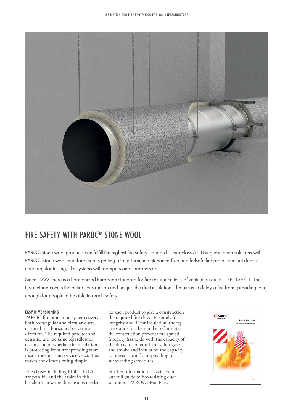

# FIRE SAFETY WITH PAROC® STONE WOOL

PAROC stone wool products can fulfill the highest fire safety standard – Euroclass A1. Using insulation solutions with PAROC Stone wool therefore means getting a long-term, maintenance-free and failsafe fire protection that doesn't need regular testing, like systems with dampers and sprinklers do.

Since 1999, there is a harmonized European standard for fire resistance tests of ventilation ducts – EN 1366-1. The test method covers the entire construction and not just the duct insulation. The aim is to delay a fire from spreading long enough for people to be able to reach safety.

## **EASY DIMENSIONING**

PAROC fire protection system covers both rectangular and circular ducts, oriented in a horizontal or vertical direction. The required product and densities are the same regardless of orientation or whether the insulation is protecting from fire spreading from inside the duct out, or vice versa. This makes the dimensioning simple.

Fire classes including EI30 – EI120 are possible and the tables in this brochure show the dimensions needed for each product to give a construction the required fire class. 'E' stands for integrity and 'I' for insulation; the figure stands for the number of minutes the construction prevents fire spread. Integrity has to do with the capacity of the ducts to contain flames, hot gases and smoke and insulation the capacity to prevent heat from spreading to surrounding structures.

Further information is available in our full guide to fire-resisting duct solutions, 'PAROC Hvac Fire'.